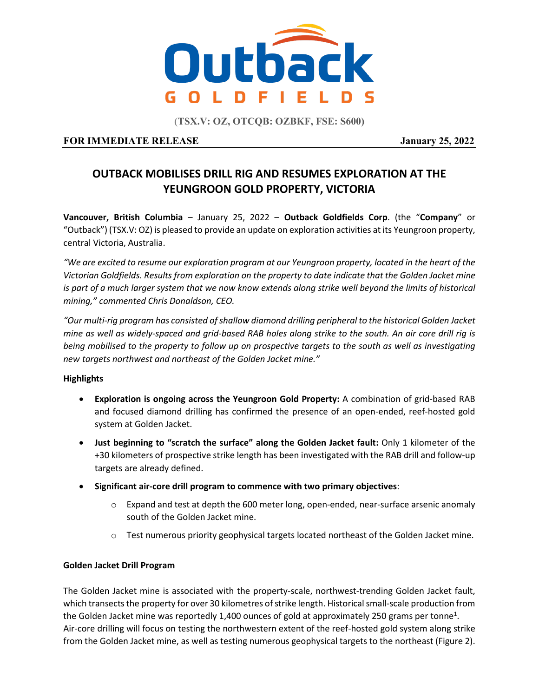

**(TSX.V: OZ, OTCQB: OZBKF, FSE: S600)**

## **FOR IMMEDIATE RELEASE January 25, 2022**

# **OUTBACK MOBILISES DRILL RIG AND RESUMES EXPLORATION AT THE YEUNGROON GOLD PROPERTY, VICTORIA**

**Vancouver, British Columbia** – January 25, 2022 – **Outback Goldfields Corp**. (the "**Company**" or "Outback") (TSX.V: OZ) is pleased to provide an update on exploration activities at its Yeungroon property, central Victoria, Australia.

*"We are excited to resume our exploration program at our Yeungroon property, located in the heart of the Victorian Goldfields. Results from exploration on the property to date indicate that the Golden Jacket mine is part of a much larger system that we now know extends along strike well beyond the limits of historical mining," commented Chris Donaldson, CEO.*

*"Our multi-rig program has consisted of shallow diamond drilling peripheral to the historical Golden Jacket mine as well as widely-spaced and grid-based RAB holes along strike to the south. An air core drill rig is being mobilised to the property to follow up on prospective targets to the south as well as investigating new targets northwest and northeast of the Golden Jacket mine."* 

## **Highlights**

- **Exploration is ongoing across the Yeungroon Gold Property:** A combination of grid-based RAB and focused diamond drilling has confirmed the presence of an open-ended, reef-hosted gold system at Golden Jacket.
- **Just beginning to "scratch the surface" along the Golden Jacket fault:** Only 1 kilometer of the +30 kilometers of prospective strike length has been investigated with the RAB drill and follow-up targets are already defined.
- **Significant air-core drill program to commence with two primary objectives**:
	- $\circ$  Expand and test at depth the 600 meter long, open-ended, near-surface arsenic anomaly south of the Golden Jacket mine.
	- o Test numerous priority geophysical targets located northeast of the Golden Jacket mine.

# **Golden Jacket Drill Program**

The Golden Jacket mine is associated with the property-scale, northwest-trending Golden Jacket fault, which transects the property for over 30 kilometres of strike length. Historical small-scale production from the Golden Jacket mine was reportedly 1,400 ounces of gold at approximately 250 grams per tonne<sup>1</sup>. Air-core drilling will focus on testing the northwestern extent of the reef-hosted gold system along strike from the Golden Jacket mine, as well as testing numerous geophysical targets to the northeast (Figure 2).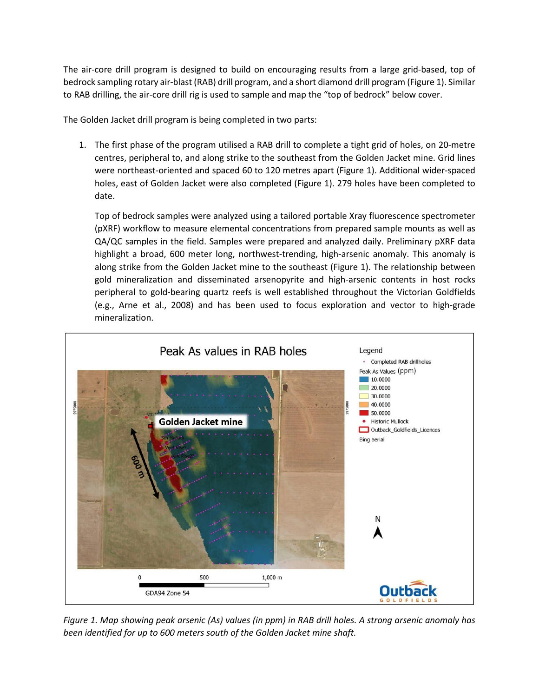The air-core drill program is designed to build on encouraging results from a large grid-based, top of bedrock sampling rotary air-blast (RAB) drill program, and a short diamond drill program (Figure 1). Similar to RAB drilling, the air-core drill rig is used to sample and map the "top of bedrock" below cover.

The Golden Jacket drill program is being completed in two parts:

1. The first phase of the program utilised a RAB drill to complete a tight grid of holes, on 20-metre centres, peripheral to, and along strike to the southeast from the Golden Jacket mine. Grid lines were northeast-oriented and spaced 60 to 120 metres apart (Figure 1). Additional wider-spaced holes, east of Golden Jacket were also completed (Figure 1). 279 holes have been completed to date.

Top of bedrock samples were analyzed using a tailored portable Xray fluorescence spectrometer (pXRF) workflow to measure elemental concentrations from prepared sample mounts as well as QA/QC samples in the field. Samples were prepared and analyzed daily. Preliminary pXRF data highlight a broad, 600 meter long, northwest-trending, high-arsenic anomaly. This anomaly is along strike from the Golden Jacket mine to the southeast (Figure 1). The relationship between gold mineralization and disseminated arsenopyrite and high-arsenic contents in host rocks peripheral to gold-bearing quartz reefs is well established throughout the Victorian Goldfields (e.g., Arne et al., 2008) and has been used to focus exploration and vector to high-grade mineralization.



*Figure 1. Map showing peak arsenic (As) values (in ppm) in RAB drill holes. A strong arsenic anomaly has been identified for up to 600 meters south of the Golden Jacket mine shaft.*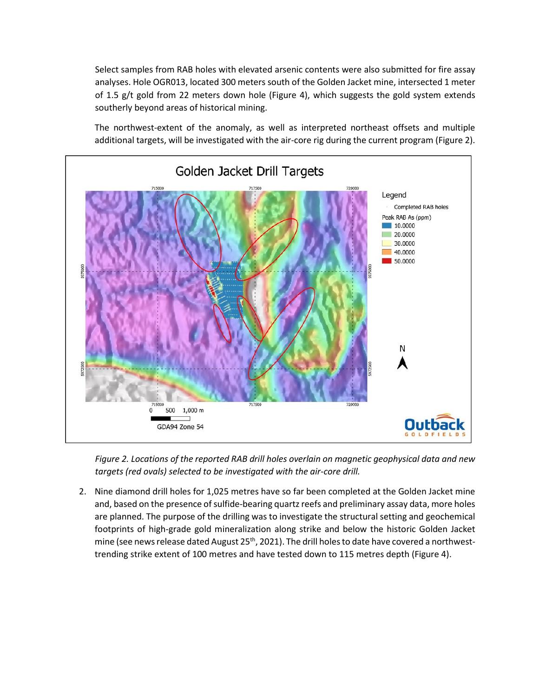Select samples from RAB holes with elevated arsenic contents were also submitted for fire assay analyses. Hole OGR013, located 300 meters south of the Golden Jacket mine, intersected 1 meter of 1.5 g/t gold from 22 meters down hole (Figure 4), which suggests the gold system extends southerly beyond areas of historical mining.

The northwest-extent of the anomaly, as well as interpreted northeast offsets and multiple additional targets, will be investigated with the air-core rig during the current program (Figure 2).



*Figure 2. Locations of the reported RAB drill holes overlain on magnetic geophysical data and new targets (red ovals) selected to be investigated with the air-core drill.* 

2. Nine diamond drill holes for 1,025 metres have so far been completed at the Golden Jacket mine and, based on the presence of sulfide-bearing quartz reefs and preliminary assay data, more holes are planned. The purpose of the drilling was to investigate the structural setting and geochemical footprints of high-grade gold mineralization along strike and below the historic Golden Jacket mine (see news release dated August 25<sup>th</sup>, 2021). The drill holes to date have covered a northwesttrending strike extent of 100 metres and have tested down to 115 metres depth (Figure 4).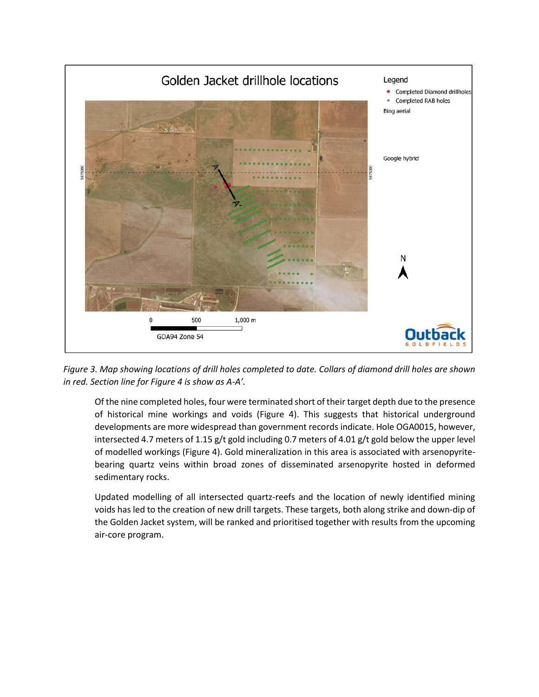

*Figure 3. Map showing locations of drill holes completed to date. Collars of diamond drill holes are shown in red. Section line for Figure 4 is show as A-A'.*

Of the nine completed holes, four were terminated short of their target depth due to the presence of historical mine workings and voids (Figure 4). This suggests that historical underground developments are more widespread than government records indicate. Hole OGA0015, however, intersected 4.7 meters of 1.15 g/t gold including 0.7 meters of 4.01 g/t gold below the upper level of modelled workings (Figure 4). Gold mineralization in this area is associated with arsenopyritebearing quartz veins within broad zones of disseminated arsenopyrite hosted in deformed sedimentary rocks.

Updated modelling of all intersected quartz-reefs and the location of newly identified mining voids has led to the creation of new drill targets. These targets, both along strike and down-dip of the Golden Jacket system, will be ranked and prioritised together with results from the upcoming air-core program.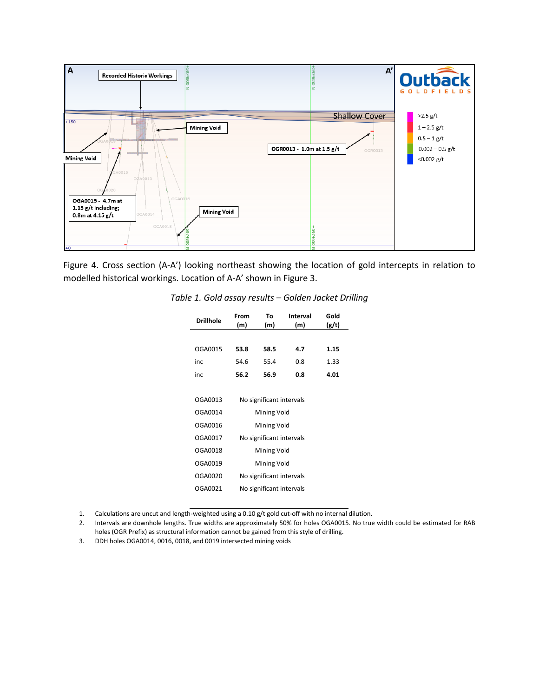

Figure 4. Cross section (A-A') looking northeast showing the location of gold intercepts in relation to modelled historical workings. Location of A-A' shown in Figure 3.

| <b>Drillhole</b> | From<br>(m)              | Т٥<br>(m) | Interval<br>(m) | Gold<br>(g/t) |  |  |  |
|------------------|--------------------------|-----------|-----------------|---------------|--|--|--|
|                  |                          |           |                 |               |  |  |  |
| OGA0015          | 53.8                     | 58.5      | 4.7             |               |  |  |  |
| inc              | 54.6                     | 55.4      | 0.8             | 1.33          |  |  |  |
| inc              | 56.2                     | 56.9      | 0.8             | 4.01          |  |  |  |
|                  |                          |           |                 |               |  |  |  |
| OGA0013          | No significant intervals |           |                 |               |  |  |  |
| OGA0014          | Mining Void              |           |                 |               |  |  |  |
| OGA0016          | Mining Void              |           |                 |               |  |  |  |
| OGA0017          | No significant intervals |           |                 |               |  |  |  |
| OGA0018          | Mining Void              |           |                 |               |  |  |  |
| OGA0019          | Mining Void              |           |                 |               |  |  |  |
| OGA0020          | No significant intervals |           |                 |               |  |  |  |
| OGA0021          | No significant intervals |           |                 |               |  |  |  |
|                  |                          |           |                 |               |  |  |  |

*Table 1. Gold assay results – Golden Jacket Drilling*

1. Calculations are uncut and length-weighted using a 0.10 g/t gold cut-off with no internal dilution.

2. Intervals are downhole lengths. True widths are approximately 50% for holes OGA0015. No true width could be estimated for RAB holes (OGR Prefix) as structural information cannot be gained from this style of drilling.

3. DDH holes OGA0014, 0016, 0018, and 0019 intersected mining voids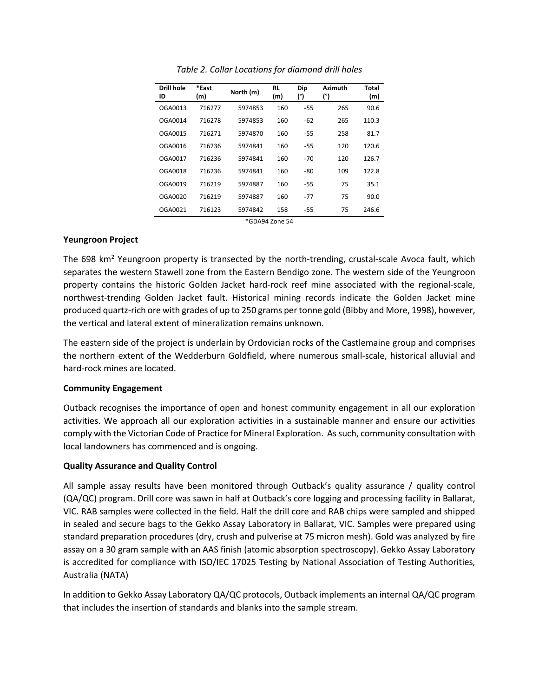| <b>Drill hole</b><br>ID | *East<br>(m) | North (m) | RL<br>(m) | Dip<br>(°) | Azimuth<br>(°) | Total<br>(m) |  |  |
|-------------------------|--------------|-----------|-----------|------------|----------------|--------------|--|--|
| OGA0013                 | 716277       | 5974853   | 160       | -55        | 265            | 90.6         |  |  |
| OGA0014                 | 716278       | 5974853   | 160       | -62        | 265            | 110.3        |  |  |
| OGA0015                 | 716271       | 5974870   | 160       | -55        | 258            | 81.7         |  |  |
| OGA0016                 | 716236       | 5974841   | 160       | -55        | 120            | 120.6        |  |  |
| OGA0017                 | 716236       | 5974841   | 160       | $-70$      | 120            | 126.7        |  |  |
| OGA0018                 | 716236       | 5974841   | 160       | -80        | 109            | 122.8        |  |  |
| OGA0019                 | 716219       | 5974887   | 160       | $-55$      | 75             | 35.1         |  |  |
| OGA0020                 | 716219       | 5974887   | 160       | $-77$      | 75             | 90.0         |  |  |
| OGA0021                 | 716123       | 5974842   | 158       | $-55$      | 75             | 246.6        |  |  |
| *GDA94 7one 54          |              |           |           |            |                |              |  |  |

*Table 2. Collar Locations for diamond drill holes*

## **Yeungroon Project**

The 698 km<sup>2</sup> Yeungroon property is transected by the north-trending, crustal-scale Avoca fault, which separates the western Stawell zone from the Eastern Bendigo zone. The western side of the Yeungroon property contains the historic Golden Jacket hard-rock reef mine associated with the regional-scale, northwest-trending Golden Jacket fault. Historical mining records indicate the Golden Jacket mine produced quartz-rich ore with grades of up to 250 grams per tonne gold (Bibby and More, 1998), however, the vertical and lateral extent of mineralization remains unknown.

The eastern side of the project is underlain by Ordovician rocks of the Castlemaine group and comprises the northern extent of the Wedderburn Goldfield, where numerous small-scale, historical alluvial and hard-rock mines are located.

#### **Community Engagement**

Outback recognises the importance of open and honest community engagement in all our exploration activities. We approach all our exploration activities in a sustainable manner and ensure our activities comply with the Victorian Code of Practice for Mineral Exploration. As such, community consultation with local landowners has commenced and is ongoing.

## **Quality Assurance and Quality Control**

All sample assay results have been monitored through Outback's quality assurance / quality control (QA/QC) program. Drill core was sawn in half at Outback's core logging and processing facility in Ballarat, VIC. RAB samples were collected in the field. Half the drill core and RAB chips were sampled and shipped in sealed and secure bags to the Gekko Assay Laboratory in Ballarat, VIC. Samples were prepared using standard preparation procedures (dry, crush and pulverise at 75 micron mesh). Gold was analyzed by fire assay on a 30 gram sample with an AAS finish (atomic absorption spectroscopy). Gekko Assay Laboratory is accredited for compliance with ISO/IEC 17025 Testing by National Association of Testing Authorities, Australia (NATA)

In addition to Gekko Assay Laboratory QA/QC protocols, Outback implements an internal QA/QC program that includes the insertion of standards and blanks into the sample stream.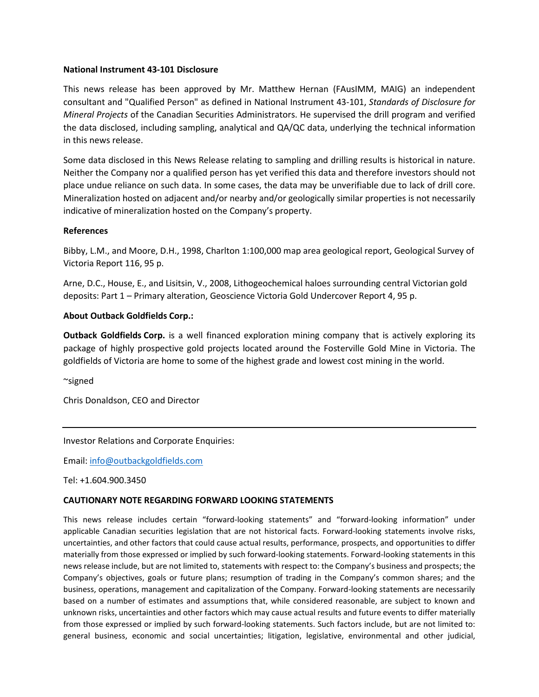#### **National Instrument 43-101 Disclosure**

This news release has been approved by Mr. Matthew Hernan (FAusIMM, MAIG) an independent consultant and "Qualified Person" as defined in National Instrument 43-101, *Standards of Disclosure for Mineral Projects* of the Canadian Securities Administrators. He supervised the drill program and verified the data disclosed, including sampling, analytical and QA/QC data, underlying the technical information in this news release.

Some data disclosed in this News Release relating to sampling and drilling results is historical in nature. Neither the Company nor a qualified person has yet verified this data and therefore investors should not place undue reliance on such data. In some cases, the data may be unverifiable due to lack of drill core. Mineralization hosted on adjacent and/or nearby and/or geologically similar properties is not necessarily indicative of mineralization hosted on the Company's property.

## **References**

Bibby, L.M., and Moore, D.H., 1998, Charlton 1:100,000 map area geological report, Geological Survey of Victoria Report 116, 95 p.

Arne, D.C., House, E., and Lisitsin, V., 2008, Lithogeochemical haloes surrounding central Victorian gold deposits: Part 1 – Primary alteration, Geoscience Victoria Gold Undercover Report 4, 95 p.

## **About Outback Goldfields Corp.:**

**Outback Goldfields Corp.** is a well financed exploration mining company that is actively exploring its package of highly prospective gold projects located around the Fosterville Gold Mine in Victoria. The goldfields of Victoria are home to some of the highest grade and lowest cost mining in the world.

~signed

Chris Donaldson, CEO and Director

Investor Relations and Corporate Enquiries:

Email: [info@outbackgoldfields.com](about:blank)

Tel: +1.604.900.3450

#### **CAUTIONARY NOTE REGARDING FORWARD LOOKING STATEMENTS**

This news release includes certain "forward-looking statements" and "forward-looking information" under applicable Canadian securities legislation that are not historical facts. Forward-looking statements involve risks, uncertainties, and other factors that could cause actual results, performance, prospects, and opportunities to differ materially from those expressed or implied by such forward-looking statements. Forward-looking statements in this news release include, but are not limited to, statements with respect to: the Company's business and prospects; the Company's objectives, goals or future plans; resumption of trading in the Company's common shares; and the business, operations, management and capitalization of the Company. Forward-looking statements are necessarily based on a number of estimates and assumptions that, while considered reasonable, are subject to known and unknown risks, uncertainties and other factors which may cause actual results and future events to differ materially from those expressed or implied by such forward-looking statements. Such factors include, but are not limited to: general business, economic and social uncertainties; litigation, legislative, environmental and other judicial,